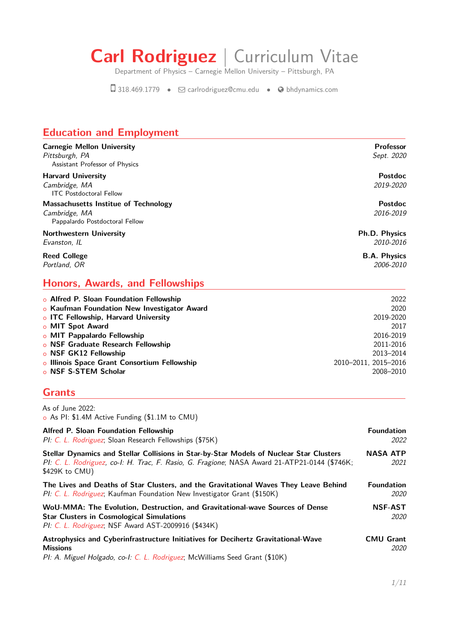# **Carl Rodriguez** | Curriculum Vitae

Department of Physics – Carnegie Mellon University – Pittsburgh, PA

Æ 318.469.1779 • <sup>Q</sup> [carlrodriguez@cmu.edu](mailto:carlrodriguez@cmu.edu) • [bhdynamics.com](http://bhdynamics.com)

# **Education and Employment**

| <b>Carnegie Mellon University</b><br>Pittsburgh, PA<br>Assistant Professor of Physics   | <b>Professor</b><br>Sept. 2020    |
|-----------------------------------------------------------------------------------------|-----------------------------------|
| <b>Harvard University</b><br>Cambridge, MA<br><b>ITC</b> Postdoctoral Fellow            | Postdoc<br>2019-2020              |
| Massachusetts Institue of Technology<br>Cambridge, MA<br>Pappalardo Postdoctoral Fellow | <b>Postdoc</b><br>2016-2019       |
| <b>Northwestern University</b><br>Evanston, IL                                          | <b>Ph.D. Physics</b><br>2010-2016 |
| <b>Reed College</b><br>Portland, OR                                                     | <b>B.A. Physics</b><br>2006-2010  |

#### **Honors, Awards, and Fellowships**

| 2022                 |
|----------------------|
| 2020                 |
| 2019-2020            |
| 2017                 |
| 2016-2019            |
| 2011-2016            |
| 2013-2014            |
| 2010-2011, 2015-2016 |
| 2008-2010            |
|                      |

## **Grants**

As of June 2022: o As PI: \$1.4M Active Funding (\$1.1M to CMU)

| <b>Alfred P. Sloan Foundation Fellowship</b><br>PI: C. L. Rodriguez; Sloan Research Fellowships (\$75K)                                                                                                    | <b>Foundation</b><br>2022        |
|------------------------------------------------------------------------------------------------------------------------------------------------------------------------------------------------------------|----------------------------------|
| Stellar Dynamics and Stellar Collisions in Star-by-Star Models of Nuclear Star Clusters<br>PI: C. L. Rodriguez, co-I: H. Trac, F. Rasio, G. Fragione; NASA Award 21-ATP21-0144 (\$746K;<br>$$429K$ to CMU) | <b>NASA ATP</b><br>2021          |
| The Lives and Deaths of Star Clusters, and the Gravitational Waves They Leave Behind<br>PI: C. L. Rodriguez; Kaufman Foundation New Investigator Grant (\$150K)                                            | <b>Foundation</b><br><i>2020</i> |
| WoU-MMA: The Evolution, Destruction, and Gravitational-wave Sources of Dense<br><b>Star Clusters in Cosmological Simulations</b><br>PI: C. L. Rodriguez; NSF Award AST-2009916 (\$434K)                    | <b>NSF-AST</b><br>2020           |
| Astrophysics and Cyberinfrastructure Initiatives for Decihertz Gravitational-Wave<br><b>Missions</b><br>$Pl: A$ Miguel Holgado, co-L.C. I. Rodriguez: McWilliams Seed Grant (\$10K)                        | <b>CMU Grant</b><br><i>2020</i>  |

PI: A. Miguel Holgado, co-I: C. L. Rodriguez; McWilliams Seed Grant (\$10K)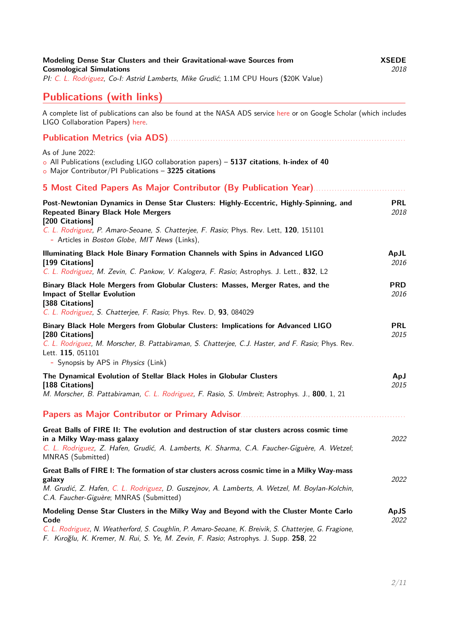| Modeling Dense Star Clusters and their Gravitational-wave Sources from<br><b>Cosmological Simulations</b><br>PI: C. L. Rodriguez, Co-I: Astrid Lamberts, Mike Grudić; 1.1M CPU Hours (\$20K Value)                                                                                                 | <b>XSEDE</b><br>2018 |
|----------------------------------------------------------------------------------------------------------------------------------------------------------------------------------------------------------------------------------------------------------------------------------------------------|----------------------|
| <b>Publications (with links)</b>                                                                                                                                                                                                                                                                   |                      |
| A complete list of publications can also be found at the NASA ADS service here or on Google Scholar (which includes<br>LIGO Collaboration Papers) here.                                                                                                                                            |                      |
|                                                                                                                                                                                                                                                                                                    |                      |
| As of June 2022:<br>$\circ$ All Publications (excluding LIGO collaboration papers) - 5137 citations, h-index of 40<br>$\circ$ Major Contributor/PI Publications - 3225 citations                                                                                                                   |                      |
|                                                                                                                                                                                                                                                                                                    |                      |
| Post-Newtonian Dynamics in Dense Star Clusters: Highly-Eccentric, Highly-Spinning, and<br><b>Repeated Binary Black Hole Mergers</b><br>[200 Citations]<br>C. L. Rodriguez, P. Amaro-Seoane, S. Chatterjee, F. Rasio; Phys. Rev. Lett, 120, 151101<br>- Articles in Boston Globe, MIT News (Links), | <b>PRL</b><br>2018   |
| Illuminating Black Hole Binary Formation Channels with Spins in Advanced LIGO<br>[199 Citations]<br>C. L. Rodriguez, M. Zevin, C. Pankow, V. Kalogera, F. Rasio; Astrophys. J. Lett., 832, L2                                                                                                      | ApJL<br>2016         |
| Binary Black Hole Mergers from Globular Clusters: Masses, Merger Rates, and the<br><b>Impact of Stellar Evolution</b><br>[388 Citations]<br>C. L. Rodriguez, S. Chatterjee, F. Rasio; Phys. Rev. D, 93, 084029                                                                                     | <b>PRD</b><br>2016   |
| Binary Black Hole Mergers from Globular Clusters: Implications for Advanced LIGO<br>[280 Citations]<br>C. L. Rodriguez, M. Morscher, B. Pattabiraman, S. Chatterjee, C.J. Haster, and F. Rasio; Phys. Rev.<br>Lett. 115, 051101<br>- Synopsis by APS in Physics (Link)                             | <b>PRL</b><br>2015   |
| The Dynamical Evolution of Stellar Black Holes in Globular Clusters<br>[188 Citations]<br>M. Morscher, B. Pattabiraman, C. L. Rodriguez, F. Rasio, S. Umbreit; Astrophys. J., 800, 1, 21                                                                                                           | ApJ<br>2015          |
| Papers as Major Contributor or Primary Advisor                                                                                                                                                                                                                                                     |                      |
| Great Balls of FIRE II: The evolution and destruction of star clusters across cosmic time<br>in a Milky Way-mass galaxy<br>C. L. Rodriguez, Z. Hafen, Grudić, A. Lamberts, K. Sharma, C.A. Faucher-Giguère, A. Wetzel;<br>MNRAS (Submitted)                                                        | 2022                 |
| Great Balls of FIRE I: The formation of star clusters across cosmic time in a Milky Way-mass<br>galaxy<br>M. Grudić, Z. Hafen, C. L. Rodriguez, D. Guszejnov, A. Lamberts, A. Wetzel, M. Boylan-Kolchin,<br>C.A. Faucher-Giguère; MNRAS (Submitted)                                                | 2022                 |
| Modeling Dense Star Clusters in the Milky Way and Beyond with the Cluster Monte Carlo<br>Code<br>C. L. Rodriguez, N. Weatherford, S. Coughlin, P. Amaro-Seoane, K. Breivik, S. Chatterjee, G. Fragione,<br>F. Kıroğlu, K. Kremer, N. Rui, S. Ye, M. Zevin, F. Rasio; Astrophys. J. Supp. 258, 22   | ApJS<br>2022         |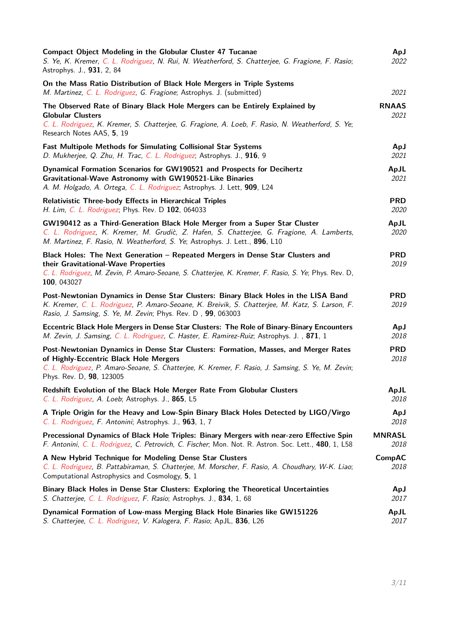| Compact Object Modeling in the Globular Cluster 47 Tucanae<br>S. Ye, K. Kremer, C. L. Rodriguez, N. Rui, N. Weatherford, S. Chatterjee, G. Fragione, F. Rasio;<br>Astrophys. J., 931, 2, 84                                                                     | ApJ<br>2022                  |
|-----------------------------------------------------------------------------------------------------------------------------------------------------------------------------------------------------------------------------------------------------------------|------------------------------|
| On the Mass Ratio Distribution of Black Hole Mergers in Triple Systems<br>M. Martinez, C. L. Rodriguez, G. Fragione; Astrophys. J. (submitted)                                                                                                                  | 2021                         |
| The Observed Rate of Binary Black Hole Mergers can be Entirely Explained by                                                                                                                                                                                     | <b>RNAAS</b>                 |
| <b>Globular Clusters</b>                                                                                                                                                                                                                                        | 2021                         |
| C. L. Rodriguez, K. Kremer, S. Chatterjee, G. Fragione, A. Loeb, F. Rasio, N. Weatherford, S. Ye;<br>Research Notes AAS, 5, 19                                                                                                                                  |                              |
| <b>Fast Multipole Methods for Simulating Collisional Star Systems</b>                                                                                                                                                                                           | ApJ                          |
| D. Mukherjee, Q. Zhu, H. Trac, C. L. Rodriguez; Astrophys. J., 916, 9                                                                                                                                                                                           | 2021                         |
| Dynamical Formation Scenarios for GW190521 and Prospects for Decihertz<br>Gravitational-Wave Astronomy with GW190521-Like Binaries<br>A. M. Holgado, A. Ortega, C. L. Rodriguez; Astrophys. J. Lett, 909, L24                                                   | ApJL<br>2021                 |
| Relativistic Three-body Effects in Hierarchical Triples                                                                                                                                                                                                         | <b>PRD</b>                   |
| H. Lim, C. L. Rodriguez; Phys. Rev. D 102, 064033                                                                                                                                                                                                               | 2020                         |
| GW190412 as a Third-Generation Black Hole Merger from a Super Star Cluster<br>C. L. Rodriguez, K. Kremer, M. Grudic̀, Z. Hafen, S. Chatterjee, G. Fragione, A. Lamberts,<br>M. Martinez, F. Rasio, N. Weatherford, S. Ye; Astrophys. J. Lett., 896, L10         | ApJL<br>2020                 |
| Black Holes: The Next Generation - Repeated Mergers in Dense Star Clusters and<br>their Gravitational-Wave Properties<br>C. L. Rodriguez, M. Zevin, P. Amaro-Seoane, S. Chatterjee, K. Kremer, F. Rasio, S. Ye; Phys. Rev. D,<br>100, 043027                    | <b>PRD</b><br>2019           |
| Post-Newtonian Dynamics in Dense Star Clusters: Binary Black Holes in the LISA Band<br>K. Kremer, C. L. Rodriguez, P. Amaro-Seoane, K. Breivik, S. Chatterjee, M. Katz, S. Larson, F.<br>Rasio, J. Samsing, S. Ye, M. Zevin; Phys. Rev. D , 99, 063003          | <b>PRD</b><br>2019           |
| Eccentric Black Hole Mergers in Dense Star Clusters: The Role of Binary-Binary Encounters                                                                                                                                                                       | ApJ                          |
| M. Zevin, J. Samsing, C. L. Rodriguez, C. Haster, E. Ramirez-Ruiz; Astrophys. J., 871, 1                                                                                                                                                                        | 2018                         |
| Post-Newtonian Dynamics in Dense Star Clusters: Formation, Masses, and Merger Rates<br>of Highly-Eccentric Black Hole Mergers<br>C. L. Rodriguez, P. Amaro-Seoane, S. Chatterjee, K. Kremer, F. Rasio, J. Samsing, S. Ye, M. Zevin;<br>Phys. Rev. D, 98, 123005 | <b>PRD</b><br>2018           |
| Redshift Evolution of the Black Hole Merger Rate From Globular Clusters                                                                                                                                                                                         | ApJL                         |
| C. L. Rodriguez, A. Loeb; Astrophys. J., 865, L5                                                                                                                                                                                                                | 2018                         |
| A Triple Origin for the Heavy and Low-Spin Binary Black Holes Detected by LIGO/Virgo                                                                                                                                                                            | ApJ                          |
| C. L. Rodriguez, F. Antonini; Astrophys. J., 963, 1, 7                                                                                                                                                                                                          | 2018                         |
| Precessional Dynamics of Black Hole Triples: Binary Mergers with near-zero Effective Spin                                                                                                                                                                       | <b>MNRASL</b>                |
| F. Antonini, C. L. Rodriguez, C. Petrovich, C. Fischer; Mon. Not. R. Astron. Soc. Lett., 480, 1, L58                                                                                                                                                            | <i>2018</i>                  |
| A New Hybrid Technique for Modeling Dense Star Clusters<br>C. L. Rodriguez, B. Pattabiraman, S. Chatterjee, M. Morscher, F. Rasio, A. Choudhary, W-K. Liao;<br>Computational Astrophysics and Cosmology, 5, 1                                                   | <b>CompAC</b><br><i>2018</i> |
| Binary Black Holes in Dense Star Clusters: Exploring the Theoretical Uncertainties                                                                                                                                                                              | ApJ                          |
| S. Chatterjee, C. L. Rodriguez, F. Rasio; Astrophys. J., 834, 1, 68                                                                                                                                                                                             | 2017                         |
| <b>Dynamical Formation of Low-mass Merging Black Hole Binaries like GW151226</b>                                                                                                                                                                                | ApJL                         |
| S. Chatterjee, C. L. Rodriguez, V. Kalogera, F. Rasio; ApJL, 836, L26                                                                                                                                                                                           | 2017                         |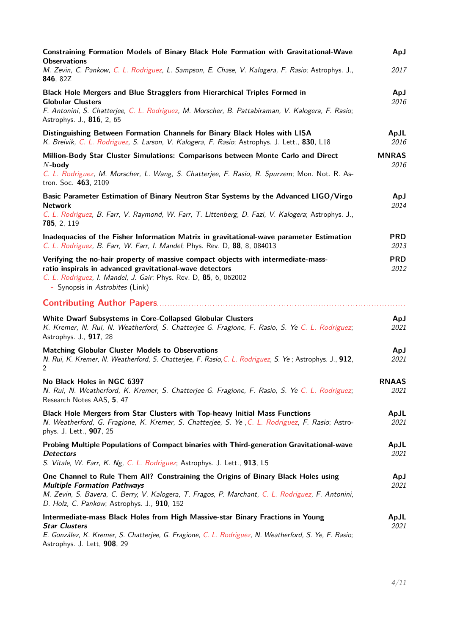| Constraining Formation Models of Binary Black Hole Formation with Gravitational-Wave<br><b>Observations</b>                                                                                                                                          | ApJ                  |
|------------------------------------------------------------------------------------------------------------------------------------------------------------------------------------------------------------------------------------------------------|----------------------|
| M. Zevin, C. Pankow, C. L. Rodriguez, L. Sampson, E. Chase, V. Kalogera, F. Rasio; Astrophys. J.,<br><b>846, 82Z</b>                                                                                                                                 | 2017                 |
| Black Hole Mergers and Blue Stragglers from Hierarchical Triples Formed in<br><b>Globular Clusters</b><br>F. Antonini, S. Chatterjee, C. L. Rodriguez, M. Morscher, B. Pattabiraman, V. Kalogera, F. Rasio;<br>Astrophys. J., 816, 2, 65             | ApJ<br>2016          |
| Distinguishing Between Formation Channels for Binary Black Holes with LISA<br>K. Breivik, C. L. Rodriguez, S. Larson, V. Kalogera, F. Rasio; Astrophys. J. Lett., 830, L18                                                                           | ApJL<br>2016         |
| Million-Body Star Cluster Simulations: Comparisons between Monte Carlo and Direct<br>$N$ -body<br>C. L. Rodriguez, M. Morscher, L. Wang, S. Chatterjee, F. Rasio, R. Spurzem; Mon. Not. R. As-<br>tron. Soc. 463, 2109                               | <b>MNRAS</b><br>2016 |
| Basic Parameter Estimation of Binary Neutron Star Systems by the Advanced LIGO/Virgo<br><b>Network</b><br>C. L. Rodriguez, B. Farr, V. Raymond, W. Farr, T. Littenberg, D. Fazi, V. Kalogera; Astrophys. J.,<br>785, 2, 119                          | ApJ<br>2014          |
| Inadequacies of the Fisher Information Matrix in gravitational-wave parameter Estimation<br>C. L. Rodriguez, B. Farr, W. Farr, I. Mandel; Phys. Rev. D, 88, 8, 084013                                                                                | <b>PRD</b><br>2013   |
| Verifying the no-hair property of massive compact objects with intermediate-mass-<br>ratio inspirals in advanced gravitational-wave detectors<br>C. L. Rodriguez, I. Mandel, J. Gair; Phys. Rev. D, 85, 6, 062002<br>- Synopsis in Astrobites (Link) | <b>PRD</b><br>2012   |
|                                                                                                                                                                                                                                                      |                      |
| White Dwarf Subsystems in Core-Collapsed Globular Clusters<br>K. Kremer, N. Rui, N. Weatherford, S. Chatterjee G. Fragione, F. Rasio, S. Ye C. L. Rodriguez;<br>Astrophys. J., 917, 28                                                               | ApJ<br>2021          |
| <b>Matching Globular Cluster Models to Observations</b><br>N. Rui, K. Kremer, N. Weatherford, S. Chatterjee, F. Rasio, C. L. Rodriguez, S. Ye; Astrophys. J., 912,<br>2                                                                              | ApJ<br>2021          |
| No Black Holes in NGC 6397<br>N. Rui, N. Weatherford, K. Kremer, S. Chatterjee G. Fragione, F. Rasio, S. Ye C. L. Rodriguez;<br>Research Notes AAS, 5, 47                                                                                            | <b>RNAAS</b><br>2021 |
| Black Hole Mergers from Star Clusters with Top-heavy Initial Mass Functions<br>N. Weatherford, G. Fragione, K. Kremer, S. Chatterjee, S. Ye, C. L. Rodriguez, F. Rasio; Astro-<br>phys. J. Lett., 907, 25                                            | ApJL<br>2021         |
| Probing Multiple Populations of Compact binaries with Third-generation Gravitational-wave<br><b>Detectors</b><br>S. Vitale, W. Farr, K. Ng, C. L. Rodriguez; Astrophys. J. Lett., 913, L5                                                            | ApJL<br>2021         |
| One Channel to Rule Them All? Constraining the Origins of Binary Black Holes using                                                                                                                                                                   | ApJ                  |
| <b>Multiple Formation Pathways</b><br>M. Zevin, S. Bavera, C. Berry, V. Kalogera, T. Fragos, P. Marchant, C. L. Rodriguez, F. Antonini,<br>D. Holz, C. Pankow; Astrophys. J., 910, 152                                                               | 2021                 |
| Intermediate-mass Black Holes from High Massive-star Binary Fractions in Young<br><b>Star Clusters</b><br>E. González, K. Kremer, S. Chatterjee, G. Fragione, C. L. Rodriguez, N. Weatherford, S. Ye, F. Rasio;<br>Astrophys. J. Lett, 908, 29       | ApJL<br>2021         |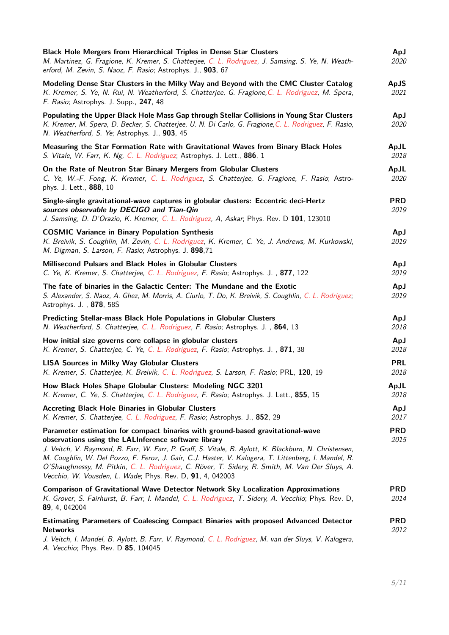| Black Hole Mergers from Hierarchical Triples in Dense Star Clusters<br>M. Martinez, G. Fragione, K. Kremer, S. Chatterjee, C. L. Rodriguez, J. Samsing, S. Ye, N. Weath-<br>erford, M. Zevin, S. Naoz, F. Rasio; Astrophys. J., 903, 67                                                                                                                                                                                                                                                                                 | ApJ<br>2020        |
|-------------------------------------------------------------------------------------------------------------------------------------------------------------------------------------------------------------------------------------------------------------------------------------------------------------------------------------------------------------------------------------------------------------------------------------------------------------------------------------------------------------------------|--------------------|
| Modeling Dense Star Clusters in the Milky Way and Beyond with the CMC Cluster Catalog<br>K. Kremer, S. Ye, N. Rui, N. Weatherford, S. Chatterjee, G. Fragione, C. L. Rodriguez, M. Spera,<br>F. Rasio; Astrophys. J. Supp., 247, 48                                                                                                                                                                                                                                                                                     | ApJS<br>2021       |
| Populating the Upper Black Hole Mass Gap through Stellar Collisions in Young Star Clusters<br>K. Kremer, M. Spera, D. Becker, S. Chatterjee, U. N. Di Carlo, G. Fragione, C. L. Rodriguez, F. Rasio,<br>N. Weatherford, S. Ye; Astrophys. J., 903, 45                                                                                                                                                                                                                                                                   | ApJ<br>2020        |
| Measuring the Star Formation Rate with Gravitational Waves from Binary Black Holes<br>S. Vitale, W. Farr, K. Ng, C. L. Rodriguez; Astrophys. J. Lett., 886, 1                                                                                                                                                                                                                                                                                                                                                           | ApJL<br>2018       |
| On the Rate of Neutron Star Binary Mergers from Globular Clusters<br>C. Ye, W.-F. Fong, K. Kremer, C. L. Rodriguez, S. Chatterjee, G. Fragione, F. Rasio; Astro-<br>phys. J. Lett., 888, 10                                                                                                                                                                                                                                                                                                                             | ApJL<br>2020       |
| Single-single gravitational-wave captures in globular clusters: Eccentric deci-Hertz<br>sources observable by DECIGO and Tian-Qin<br>J. Samsing, D. D'Orazio, K. Kremer, C. L. Rodriguez, A, Askar; Phys. Rev. D 101, 123010                                                                                                                                                                                                                                                                                            | <b>PRD</b><br>2019 |
| <b>COSMIC Variance in Binary Population Synthesis</b><br>K. Breivik, S. Coughlin, M. Zevin, C. L. Rodriguez, K. Kremer, C. Ye, J. Andrews, M. Kurkowski,<br>M. Digman, S. Larson, F. Rasio; Astrophys. J. 898,71                                                                                                                                                                                                                                                                                                        | ApJ<br>2019        |
| Millisecond Pulsars and Black Holes in Globular Clusters<br>C. Ye, K. Kremer, S. Chatterjee, C. L. Rodriguez, F. Rasio; Astrophys. J., 877, 122                                                                                                                                                                                                                                                                                                                                                                         | ApJ<br>2019        |
| The fate of binaries in the Galactic Center: The Mundane and the Exotic<br>S. Alexander, S. Naoz, A. Ghez, M. Morris, A. Ciurlo, T. Do, K. Breivik, S. Coughlin, C. L. Rodriguez;<br>Astrophys. J., 878, 58S                                                                                                                                                                                                                                                                                                            | ApJ<br>2019        |
| Predicting Stellar-mass Black Hole Populations in Globular Clusters<br>N. Weatherford, S. Chatterjee, C. L. Rodriguez, F. Rasio; Astrophys. J., 864, 13                                                                                                                                                                                                                                                                                                                                                                 | ApJ<br>2018        |
| How initial size governs core collapse in globular clusters<br>K. Kremer, S. Chatterjee, C. Ye, C. L. Rodriguez, F. Rasio; Astrophys. J., 871, 38                                                                                                                                                                                                                                                                                                                                                                       | ApJ<br>2018        |
| <b>LISA Sources in Milky Way Globular Clusters</b><br>K. Kremer, S. Chatterjee, K. Breivik, C. L. Rodriguez, S. Larson, F. Rasio; PRL, 120, 19                                                                                                                                                                                                                                                                                                                                                                          | <b>PRL</b><br>2018 |
| How Black Holes Shape Globular Clusters: Modeling NGC 3201<br>K. Kremer, C. Ye, S. Chatterjee, C. L. Rodriguez, F. Rasio; Astrophys. J. Lett., 855, 15                                                                                                                                                                                                                                                                                                                                                                  | ApJL<br>2018       |
| <b>Accreting Black Hole Binaries in Globular Clusters</b><br>K. Kremer, S. Chatterjee, C. L. Rodriguez, F. Rasio; Astrophys. J., 852, 29                                                                                                                                                                                                                                                                                                                                                                                | ApJ<br>2017        |
| Parameter estimation for compact binaries with ground-based gravitational-wave<br>observations using the LALInference software library<br>J. Veitch, V. Raymond, B. Farr, W. Farr, P. Graff, S. Vitale, B. Aylott, K. Blackburn, N. Christensen,<br>M. Coughlin, W. Del Pozzo, F. Feroz, J. Gair, C.J. Haster, V. Kalogera, T. Littenberg, I. Mandel, R.<br>O'Shaughnessy, M. Pitkin, C. L. Rodriguez, C. Röver, T. Sidery, R. Smith, M. Van Der Sluys, A.<br>Vecchio, W. Vousden, L. Wade; Phys. Rev. D, 91, 4, 042003 | <b>PRD</b><br>2015 |
| <b>Comparison of Gravitational Wave Detector Network Sky Localization Approximations</b><br>K. Grover, S. Fairhurst, B. Farr, I. Mandel, C. L. Rodriguez, T. Sidery, A. Vecchio; Phys. Rev. D,<br>89, 4, 042004                                                                                                                                                                                                                                                                                                         | <b>PRD</b><br>2014 |
| Estimating Parameters of Coalescing Compact Binaries with proposed Advanced Detector<br><b>Networks</b><br>J. Veitch, I. Mandel, B. Aylott, B. Farr, V. Raymond, C. L. Rodriguez, M. van der Sluys, V. Kalogera,<br>A. Vecchio; Phys. Rev. D 85, 104045                                                                                                                                                                                                                                                                 | <b>PRD</b><br>2012 |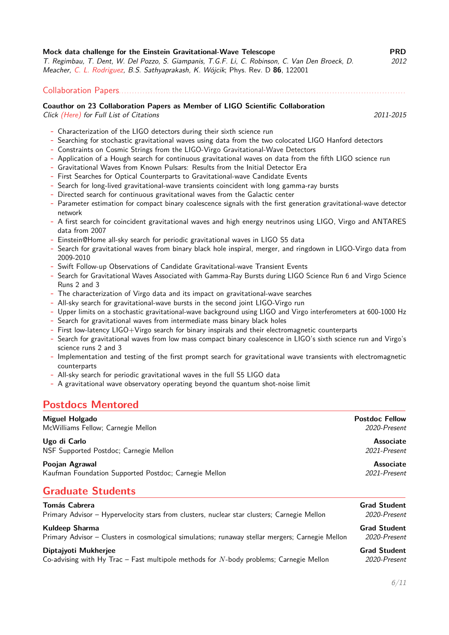| Mock data challenge for the Einstein Gravitational-Wave Telescope                               | <b>PRD</b> |
|-------------------------------------------------------------------------------------------------|------------|
| T. Regimbau, T. Dent, W. Del Pozzo, S. Giampanis, T.G.F. Li, C. Robinson, C. Van Den Broeck, D. | 2012       |
| Meacher, C. L. Rodriguez, B.S. Sathyaprakash, K. Wójcik; Phys. Rev. D 86, 122001                |            |

#### Collaboration Papers. . . . . . . . . . . . . . . . . . . . . . . . . . . . . . . . . . . . . . . . . . . . . . . . . . . . . . . . . . . . . . . . . . . . . . . . . . . . . . . . . . . . . . . . . . . . . . . . . . . . . . . . . . . . .

#### **Coauthor on 23 Collaboration Papers as Member of LIGO Scientific Collaboration**

Click (Here) [for Full List of Citations](http://adsabs.harvard.edu/cgi-bin/nph-abs_connect?db_key=AST&db_key=PRE&qform=AST&arxiv_sel=astro-ph&arxiv_sel=cond-mat&arxiv_sel=cs&arxiv_sel=gr-qc&arxiv_sel=hep-ex&arxiv_sel=hep-lat&arxiv_sel=hep-ph&arxiv_sel=hep-th&arxiv_sel=math&arxiv_sel=math-ph&arxiv_sel=nlin&arxiv_sel=nucl-ex&arxiv_sel=nucl-th&arxiv_sel=physics&arxiv_sel=quant-ph&arxiv_sel=q-bio&sim_query=YES&ned_query=YES&adsobj_query=YES&aut_logic=AND&obj_logic=OR&author=rodriguez%2C+c%0D%0Aabbott%2C+B&object=&start_mon=&start_year=2011&end_mon=&end_year=2015&ttl_logic=OR&title=&txt_logic=OR&text=&nr_to_return=200&start_nr=1&jou_pick=ALL&ref_stems=&data_and=ALL&group_and=ALL&start_entry_day=&start_entry_mon=&start_entry_year=&end_entry_day=&end_entry_mon=&end_entry_year=&min_score=&sort=SCORE&data_type=SHORT&aut_syn=YES&ttl_syn=YES&txt_syn=YES&aut_wt=1.0&obj_wt=1.0&ttl_wt=0.3&txt_wt=3.0&aut_wgt=YES&obj_wgt=YES&ttl_wgt=YES&txt_wgt=YES&ttl_sco=YES&txt_sco=YES&version=1) 2011-2015

- **-** Characterization of the LIGO detectors during their sixth science run
- **-** Searching for stochastic gravitational waves using data from the two colocated LIGO Hanford detectors
- **-** Constraints on Cosmic Strings from the LIGO-Virgo Gravitational-Wave Detectors
- **-** Application of a Hough search for continuous gravitational waves on data from the fifth LIGO science run
- **-** Gravitational Waves from Known Pulsars: Results from the Initial Detector Era
- **-** First Searches for Optical Counterparts to Gravitational-wave Candidate Events
- **-** Search for long-lived gravitational-wave transients coincident with long gamma-ray bursts
- **-** Directed search for continuous gravitational waves from the Galactic center
- **-** Parameter estimation for compact binary coalescence signals with the first generation gravitational-wave detector network
- **-** A first search for coincident gravitational waves and high energy neutrinos using LIGO, Virgo and ANTARES data from 2007
- **-** Einstein@Home all-sky search for periodic gravitational waves in LIGO S5 data
- **-** Search for gravitational waves from binary black hole inspiral, merger, and ringdown in LIGO-Virgo data from 2009-2010
- **-** Swift Follow-up Observations of Candidate Gravitational-wave Transient Events
- **-** Search for Gravitational Waves Associated with Gamma-Ray Bursts during LIGO Science Run 6 and Virgo Science Runs 2 and 3
- **-** The characterization of Virgo data and its impact on gravitational-wave searches
- **-** All-sky search for gravitational-wave bursts in the second joint LIGO-Virgo run
- **-** Upper limits on a stochastic gravitational-wave background using LIGO and Virgo interferometers at 600-1000 Hz
- **-** Search for gravitational waves from intermediate mass binary black holes
- **-** First low-latency LIGO+Virgo search for binary inspirals and their electromagnetic counterparts
- **-** Search for gravitational waves from low mass compact binary coalescence in LIGO's sixth science run and Virgo's science runs 2 and 3
- **-** Implementation and testing of the first prompt search for gravitational wave transients with electromagnetic counterparts
- **-** All-sky search for periodic gravitational waves in the full S5 LIGO data
- **-** A gravitational wave observatory operating beyond the quantum shot-noise limit

### **Postdocs Mentored**

| Miguel Holgado                                                                                      | <b>Postdoc Fellow</b>            |
|-----------------------------------------------------------------------------------------------------|----------------------------------|
| McWilliams Fellow; Carnegie Mellon                                                                  | 2020-Present                     |
| Ugo di Carlo                                                                                        | <b>Associate</b>                 |
| NSF Supported Postdoc; Carnegie Mellon                                                              | 2021-Present                     |
| Poojan Agrawal<br>Kaufman Foundation Supported Postdoc; Carnegie Mellon<br><b>Graduate Students</b> | <b>Associate</b><br>2021-Present |
| <b>Tomás Cabrera</b>                                                                                | <b>Grad Student</b>              |
| Primary Advisor - Hypervelocity stars from clusters, nuclear star clusters; Carnegie Mellon         | 2020-Present                     |
| Kuldeep Sharma                                                                                      | <b>Grad Student</b>              |
| Primary Advisor - Clusters in cosmological simulations; runaway stellar mergers; Carnegie Mellon    | 2020-Present                     |
| Diptajyoti Mukherjee                                                                                | <b>Grad Student</b>              |

Co-advising with Hy Trac – Fast multipole methods for *N*-body problems; Carnegie Mellon 2020-Present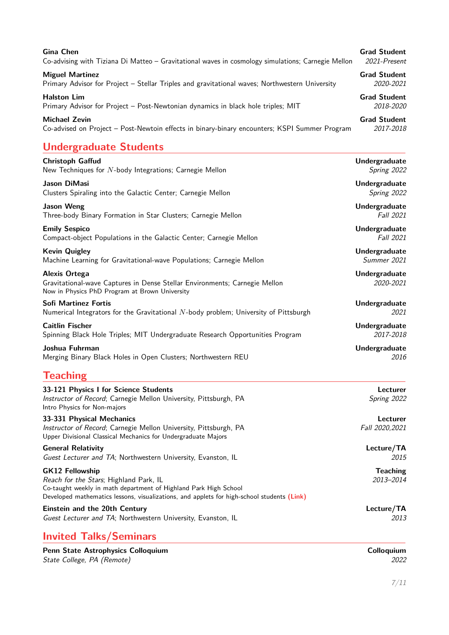| <b>Gina Chen</b>                                                                                   | <b>Grad Student</b>   |
|----------------------------------------------------------------------------------------------------|-----------------------|
| Co-advising with Tiziana Di Matteo - Gravitational waves in cosmology simulations; Carnegie Mellon | 2021-Present          |
| <b>Miguel Martinez</b>                                                                             | <b>Grad Student</b>   |
| Primary Advisor for Project - Stellar Triples and gravitational waves; Northwestern University     | 2020-2021             |
| <b>Halston Lim</b>                                                                                 | <b>Grad Student</b>   |
| Primary Advisor for Project - Post-Newtonian dynamics in black hole triples; MIT                   | <i>2018-2020</i>      |
| <b>Michael Zevin</b>                                                                               | <b>Grad Student</b>   |
| Co-advised on Project - Post-Newtoin effects in binary-binary encounters; KSPI Summer Program      | 2017-2018             |
| <b>Undergraduate Students</b>                                                                      |                       |
| $C$ huisteak $C$ effud                                                                             | <b>Lladaugusdusts</b> |

| <b>Christoph Gaffud</b>                                                                                                                                                                                                            | Undergraduate                |
|------------------------------------------------------------------------------------------------------------------------------------------------------------------------------------------------------------------------------------|------------------------------|
| New Techniques for $N$ -body Integrations; Carnegie Mellon                                                                                                                                                                         | Spring 2022                  |
| Jason DiMasi                                                                                                                                                                                                                       | Undergraduate                |
| Clusters Spiraling into the Galactic Center; Carnegie Mellon                                                                                                                                                                       | Spring 2022                  |
| <b>Jason Weng</b>                                                                                                                                                                                                                  | Undergraduate                |
| Three-body Binary Formation in Star Clusters; Carnegie Mellon                                                                                                                                                                      | Fall 2021                    |
| <b>Emily Sespico</b>                                                                                                                                                                                                               | Undergraduate                |
| Compact-object Populations in the Galactic Center; Carnegie Mellon                                                                                                                                                                 | Fall 2021                    |
| <b>Kevin Quigley</b>                                                                                                                                                                                                               | Undergraduate                |
| Machine Learning for Gravitational-wave Populations; Carnegie Mellon                                                                                                                                                               | Summer 2021                  |
| <b>Alexis Ortega</b><br>Gravitational-wave Captures in Dense Stellar Environments; Carnegie Mellon<br>Now in Physics PhD Program at Brown University                                                                               | Undergraduate<br>2020-2021   |
| <b>Sofi Martinez Fortis</b>                                                                                                                                                                                                        | Undergraduate                |
| Numerical Integrators for the Gravitational N-body problem; University of Pittsburgh                                                                                                                                               | 2021                         |
| <b>Caitlin Fischer</b>                                                                                                                                                                                                             | Undergraduate                |
| Spinning Black Hole Triples; MIT Undergraduate Research Opportunities Program                                                                                                                                                      | 2017-2018                    |
| Joshua Fuhrman                                                                                                                                                                                                                     | Undergraduate                |
| Merging Binary Black Holes in Open Clusters; Northwestern REU                                                                                                                                                                      | 2016                         |
| <b>Teaching</b>                                                                                                                                                                                                                    |                              |
| 33-121 Physics I for Science Students<br>Instructor of Record; Carnegie Mellon University, Pittsburgh, PA<br>Intro Physics for Non-majors                                                                                          | Lecturer<br>Spring 2022      |
| 33-331 Physical Mechanics<br>Instructor of Record; Carnegie Mellon University, Pittsburgh, PA<br>Upper Divisional Classical Mechanics for Undergraduate Majors                                                                     | Lecturer<br>Fall 2020, 2021  |
| <b>General Relativity</b>                                                                                                                                                                                                          | Lecture/TA                   |
| Guest Lecturer and TA; Northwestern University, Evanston, IL                                                                                                                                                                       | 2015                         |
| <b>GK12 Fellowship</b><br>Reach for the Stars; Highland Park, IL<br>Co-taught weekly in math department of Highland Park High School<br>Developed mathematics lessons, visualizations, and applets for high-school students (Link) | <b>Teaching</b><br>2013-2014 |
| Einstein and the 20th Century                                                                                                                                                                                                      | Lecture/TA                   |

Guest Lecturer and TA; Northwestern University, Evanston, IL 2013

# **Invited Talks/Seminars**

| Penn State Astrophysics Colloquium | Colloauium |
|------------------------------------|------------|
| State College, PA (Remote)         | 2022       |

**Colloquium**<br>
2022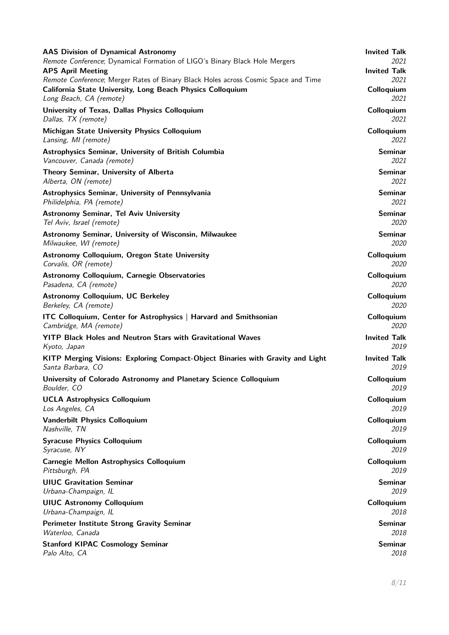| <b>AAS Division of Dynamical Astronomy</b>                                         | <b>Invited Talk</b> |
|------------------------------------------------------------------------------------|---------------------|
| Remote Conference; Dynamical Formation of LIGO's Binary Black Hole Mergers         | <i>2021</i>         |
| <b>APS April Meeting</b>                                                           | <b>Invited Talk</b> |
| Remote Conference; Merger Rates of Binary Black Holes across Cosmic Space and Time | 2021                |
| California State University, Long Beach Physics Colloquium                         | Colloquium          |
| Long Beach, CA (remote)                                                            | 2021                |
| University of Texas, Dallas Physics Colloquium                                     | Colloquium          |
| Dallas, TX (remote)                                                                | 2021                |
| Michigan State University Physics Colloquium                                       | Colloquium          |
| Lansing, MI (remote)                                                               | 2021                |
| Astrophysics Seminar, University of British Columbia                               | <b>Seminar</b>      |
| Vancouver, Canada (remote)                                                         | 2021                |
| Theory Seminar, University of Alberta                                              | <b>Seminar</b>      |
| Alberta, ON (remote)                                                               | 2021                |
| Astrophysics Seminar, University of Pennsylvania                                   | <b>Seminar</b>      |
| Philidelphia, PA (remote)                                                          | 2021                |
| <b>Astronomy Seminar, Tel Aviv University</b>                                      | <b>Seminar</b>      |
| Tel Aviv, Israel (remote)                                                          | 2020                |
| Astronomy Seminar, University of Wisconsin, Milwaukee                              | <b>Seminar</b>      |
| Milwaukee, WI (remote)                                                             | 2020                |
| <b>Astronomy Colloquium, Oregon State University</b>                               | Colloquium          |
| Corvalis, OR (remote)                                                              | 2020                |
| <b>Astronomy Colloquium, Carnegie Observatories</b>                                | Colloquium          |
| Pasadena, CA (remote)                                                              | 2020                |
| <b>Astronomy Colloquium, UC Berkeley</b>                                           | Colloquium          |
| Berkeley, CA (remote)                                                              | 2020                |
| ITC Colloquium, Center for Astrophysics   Harvard and Smithsonian                  | Colloquium          |
| Cambridge, MA (remote)                                                             | <i>2020</i>         |
| YITP Black Holes and Neutron Stars with Gravitational Waves                        | <b>Invited Talk</b> |
| Kyoto, Japan                                                                       | 2019                |
| KITP Merging Visions: Exploring Compact-Object Binaries with Gravity and Light     | <b>Invited Talk</b> |
| Santa Barbara, CO                                                                  | 2019                |
| University of Colorado Astronomy and Planetary Science Colloquium                  | Colloquium          |
| Boulder, CO                                                                        | 2019                |
| <b>UCLA Astrophysics Colloquium</b>                                                | Colloquium          |
| Los Angeles, CA                                                                    | <i>2019</i>         |
| <b>Vanderbilt Physics Colloquium</b>                                               | Colloquium          |
| Nashville, TN                                                                      | 2019                |
| <b>Syracuse Physics Colloquium</b>                                                 | Colloquium          |
| Syracuse, NY                                                                       | <i>2019</i>         |
| <b>Carnegie Mellon Astrophysics Colloquium</b>                                     | Colloquium          |
| Pittsburgh, PA                                                                     | <i>2019</i>         |
| <b>UIUC Gravitation Seminar</b>                                                    | <b>Seminar</b>      |
| Urbana-Champaign, IL                                                               | 2019                |
| <b>UIUC Astronomy Colloquium</b>                                                   | Colloquium          |
| Urbana-Champaign, IL                                                               | 2018                |
| Perimeter Institute Strong Gravity Seminar                                         | <b>Seminar</b>      |
| Waterloo, Canada                                                                   | 2018                |
| <b>Stanford KIPAC Cosmology Seminar</b>                                            | <b>Seminar</b>      |
| Palo Alto, CA                                                                      | 2018                |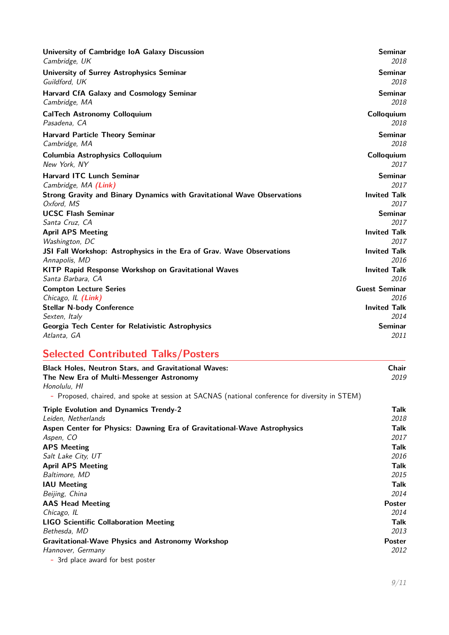| University of Cambridge IoA Galaxy Discussion<br>Cambridge, UK                         | <b>Seminar</b><br>2018      |
|----------------------------------------------------------------------------------------|-----------------------------|
| <b>University of Surrey Astrophysics Seminar</b><br>Guildford, UK                      | <b>Seminar</b><br>2018      |
| <b>Harvard CfA Galaxy and Cosmology Seminar</b><br>Cambridge, MA                       | <b>Seminar</b><br>2018      |
| <b>CalTech Astronomy Colloquium</b><br>Pasadena, CA                                    | Colloquium<br>2018          |
| <b>Harvard Particle Theory Seminar</b><br>Cambridge, MA                                | <b>Seminar</b><br>2018      |
| <b>Columbia Astrophysics Colloquium</b><br>New York, NY                                | Colloquium<br>2017          |
| <b>Harvard ITC Lunch Seminar</b><br>Cambridge, MA (Link)                               | <b>Seminar</b><br>2017      |
| Strong Gravity and Binary Dynamics with Gravitational Wave Observations<br>Oxford, MS  | <b>Invited Talk</b><br>2017 |
| <b>UCSC Flash Seminar</b>                                                              | <b>Seminar</b>              |
| Santa Cruz, CA                                                                         | 2017                        |
| <b>April APS Meeting</b>                                                               | <b>Invited Talk</b>         |
| Washington, DC                                                                         | 2017                        |
| JSI Fall Workshop: Astrophysics in the Era of Grav. Wave Observations<br>Annapolis, MD | <b>Invited Talk</b><br>2016 |
| <b>KITP Rapid Response Workshop on Gravitational Waves</b>                             | <b>Invited Talk</b>         |
| Santa Barbara, CA                                                                      | 2016                        |
| <b>Compton Lecture Series</b>                                                          | <b>Guest Seminar</b>        |
| Chicago, IL (Link)                                                                     | 2016                        |
| <b>Stellar N-body Conference</b>                                                       | <b>Invited Talk</b>         |
| Sexten, Italy                                                                          | 2014                        |
| Georgia Tech Center for Relativistic Astrophysics                                      | <b>Seminar</b>              |
| Atlanta, GA                                                                            | 2011                        |

# **Selected Contributed Talks/Posters**

| <b>Black Holes, Neutron Stars, and Gravitational Waves:</b>                                     | <b>Chair</b>  |
|-------------------------------------------------------------------------------------------------|---------------|
| The New Era of Multi-Messenger Astronomy                                                        | 2019          |
| Honolulu, HI                                                                                    |               |
| - Proposed, chaired, and spoke at session at SACNAS (national conference for diversity in STEM) |               |
| <b>Triple Evolution and Dynamics Trendy-2</b>                                                   | Talk          |
| Leiden, Netherlands                                                                             | 2018          |
| Aspen Center for Physics: Dawning Era of Gravitational-Wave Astrophysics                        | Talk          |
| Aspen, CO                                                                                       | 2017          |
| <b>APS Meeting</b>                                                                              | Talk          |
| Salt Lake City, UT                                                                              | 2016          |
| <b>April APS Meeting</b>                                                                        | Talk          |
| Baltimore, MD                                                                                   | 2015          |
| <b>IAU Meeting</b>                                                                              | Talk          |
| Beijing, China                                                                                  | 2014          |
| <b>AAS Head Meeting</b>                                                                         | <b>Poster</b> |
| Chicago, IL                                                                                     | 2014          |
| <b>LIGO Scientific Collaboration Meeting</b>                                                    | Talk          |
| Bethesda, MD                                                                                    | 2013          |
| <b>Gravitational-Wave Physics and Astronomy Workshop</b>                                        | Poster        |
| Hannover, Germany                                                                               | <i>2012</i>   |
| - 3rd place award for best poster                                                               |               |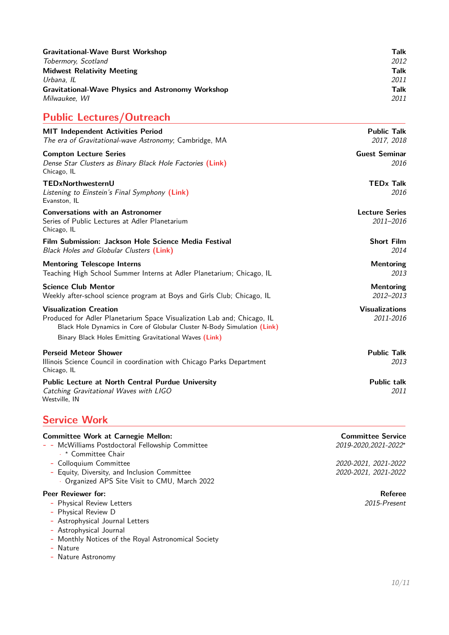| <b>Gravitational-Wave Burst Workshop</b>                 | Talk |
|----------------------------------------------------------|------|
| Tobermory, Scotland                                      | 2012 |
| <b>Midwest Relativity Meeting</b>                        | Talk |
| Urbana. IL                                               | 2011 |
| <b>Gravitational-Wave Physics and Astronomy Workshop</b> | Talk |
| Milwaukee. WI                                            | 2011 |

# **Public Lectures/Outreach**

| <b>MIT Independent Activities Period</b><br>The era of Gravitational-wave Astronomy; Cambridge, MA                                                                                   | <b>Public Talk</b><br>2017, 2018   |
|--------------------------------------------------------------------------------------------------------------------------------------------------------------------------------------|------------------------------------|
| <b>Compton Lecture Series</b><br>Dense Star Clusters as Binary Black Hole Factories (Link)<br>Chicago, IL                                                                            | <b>Guest Seminar</b><br>2016       |
| TEDxNorthwesternU<br>Listening to Einstein's Final Symphony (Link)<br>Evanston, IL                                                                                                   | <b>TEDx Talk</b><br>2016           |
| <b>Conversations with an Astronomer</b><br>Series of Public Lectures at Adler Planetarium<br>Chicago, IL                                                                             | <b>Lecture Series</b><br>2011-2016 |
| Film Submission: Jackson Hole Science Media Festival<br>Black Holes and Globular Clusters (Link)                                                                                     | <b>Short Film</b><br>2014          |
| <b>Mentoring Telescope Interns</b><br>Teaching High School Summer Interns at Adler Planetarium; Chicago, IL                                                                          | <b>Mentoring</b><br>2013           |
| <b>Science Club Mentor</b><br>Weekly after-school science program at Boys and Girls Club; Chicago, IL                                                                                | <b>Mentoring</b><br>2012-2013      |
| <b>Visualization Creation</b><br>Produced for Adler Planetarium Space Visualization Lab and; Chicago, IL<br>Black Hole Dynamics in Core of Globular Cluster N-Body Simulation (Link) | <b>Visualizations</b><br>2011-2016 |
| Binary Black Holes Emitting Gravitational Waves (Link)                                                                                                                               |                                    |
| <b>Perseid Meteor Shower</b><br>Illinois Science Council in coordination with Chicago Parks Department<br>Chicago, IL                                                                | <b>Public Talk</b><br>2013         |
| <b>Public Lecture at North Central Purdue University</b><br>Catching Gravitational Waves with LIGO<br>Westville, IN                                                                  | <b>Public talk</b><br>2011         |

# <span id="page-9-0"></span>**Service Work**

| <b>Committee Work at Carnegie Mellon:</b><br>- - McWilliams Postdoctoral Fellowship Committee<br>→ * Committee Chair | <b>Committee Service</b><br>2019-2020, 2021-2022* |
|----------------------------------------------------------------------------------------------------------------------|---------------------------------------------------|
| - Colloquium Committee                                                                                               | 2020-2021, 2021-2022                              |
| - Equity, Diversity, and Inclusion Committee<br>Organized APS Site Visit to CMU, March 2022                          | 2020-2021, 2021-2022                              |

- **Peer Reviewer for:**<br> **Referee**<br>
Physical Review Letters
2015-Present
2015-Present
2015-Present
2015-Present
2015-Present
2015-Present
2015-Present
2015-Present
2015-Present
2015-Present
2015-Present
2015-Present
2015-Pres **-** Physical Review Letters 2015-Present
	- **-** Physical Review D
	- **-** Astrophysical Journal Letters
	- **-** Astrophysical Journal
	- **-** Monthly Notices of the Royal Astronomical Society
	- **-** Nature
	- **-** Nature Astronomy